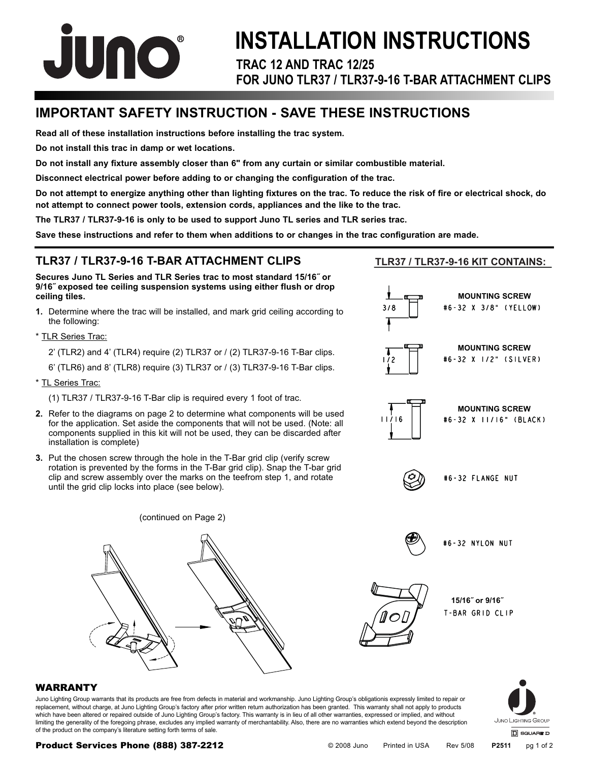

# **TRAC 12 AND TRAC 12/25 FOR JUNO TLR37 / TLR37-9-16 T-BAR ATTACHMENT CLIPS INSTALLATION INSTRUCTIONS**

# **IMPORTANT SAFETY INSTRUCTION - SAVE THESE INSTRUCTIONS**

**Read all of these installation instructions before installing the trac system.**

**Do not install this trac in damp or wet locations.** 

**Do not install any fixture assembly closer than 6" from any curtain or similar combustible material.**

**Disconnect electrical power before adding to or changing the configuration of the trac.**

**Do not attempt to energize anything other than lighting fixtures on the trac. To reduce the risk of fire or electrical shock, do not attempt to connect power tools, extension cords, appliances and the like to the trac.**

**The TLR37 / TLR37-9-16 is only to be used to support Juno TL series and TLR series trac.**

**Save these instructions and refer to them when additions to or changes in the trac configuration are made.** 

#### **TLR37 / TLR37-9-16 T-BAR ATTACHMENT CLIPS**

**Secures Juno TL Series and TLR Series trac to most standard 15/16˝ or 9/16˝ exposed tee ceiling suspension systems using either flush or drop ceiling tiles.**

**1.** Determine where the trac will be installed, and mark grid ceiling according to the following:

\* TLR Series Trac:

- 2' (TLR2) and 4' (TLR4) require (2) TLR37 or / (2) TLR37-9-16 T-Bar clips.
- 6' (TLR6) and 8' (TLR8) require (3) TLR37 or / (3) TLR37-9-16 T-Bar clips.
- \* TL Series Trac:
	- (1) TLR37 / TLR37-9-16 T-Bar clip is required every 1 foot of trac.
- **2.** Refer to the diagrams on page 2 to determine what components will be used for the application. Set aside the components that will not be used. (Note: all components supplied in this kit will not be used, they can be discarded after installation is complete)
- **3.** Put the chosen screw through the hole in the T-Bar grid clip (verify screw rotation is prevented by the forms in the T-Bar grid clip). Snap the T-bar grid clip and screw assembly over the marks on the teefrom step 1, and rotate until the grid clip locks into place (see below).



#### **TLR37 / TLR37-9-16 KIT CONTAINS:**



#### WARRANTY

Juno Lighting Group warrants that its products are free from defects in material and workmanship. Juno Lighting Group's obligationis expressly limited to repair or replacement, without charge, at Juno Lighting Group's factory after prior written return authorization has been granted. This warranty shall not apply to products which have been altered or repaired outside of Juno Lighting Group's factory. This warranty is in lieu of all other warranties, expressed or implied, and without limiting the generality of the foregoing phrase, excludes any implied warranty of merchantability. Also, there are no warranties which extend beyond the description of the product on the company's literature setting forth terms of sale.



#### Product Services Phone (888) 387-2212